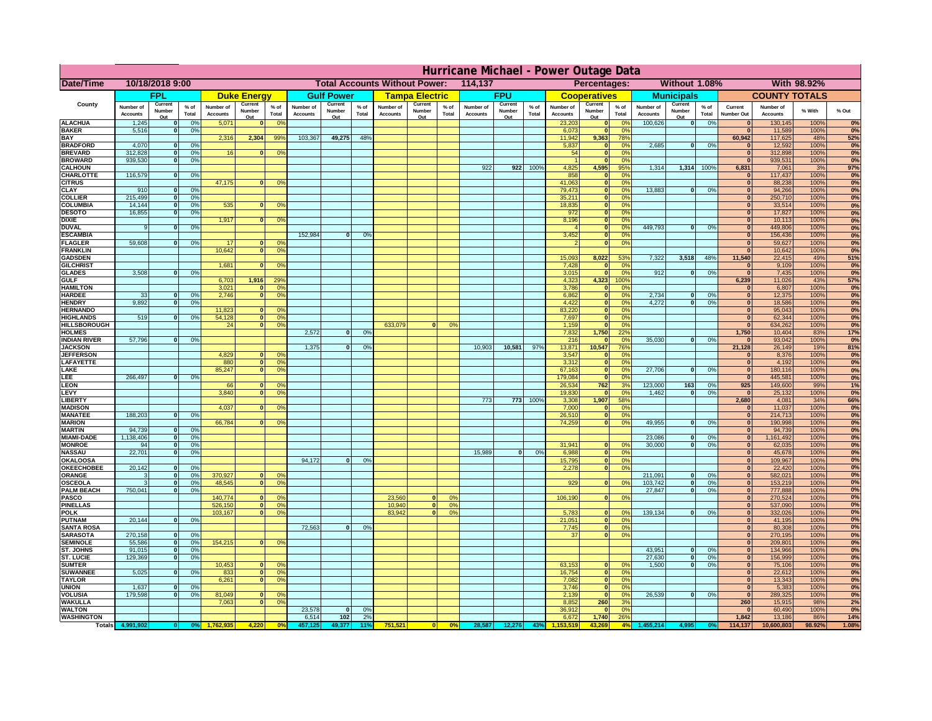|                                      | Hurricane Michael - Power Outage Data |                          |                                  |                              |                    |                                                          |                              |                   |                 |                              |                               |                 |                       |                   |                 |                              |                              |                       |                              |                    |                 |                                |                              |              |              |
|--------------------------------------|---------------------------------------|--------------------------|----------------------------------|------------------------------|--------------------|----------------------------------------------------------|------------------------------|-------------------|-----------------|------------------------------|-------------------------------|-----------------|-----------------------|-------------------|-----------------|------------------------------|------------------------------|-----------------------|------------------------------|--------------------|-----------------|--------------------------------|------------------------------|--------------|--------------|
| <b>Date/Time</b>                     | 10/18/2018 9:00                       |                          |                                  |                              |                    | <b>Total Accounts Without Power:</b><br>114,137          |                              |                   |                 |                              | Without 1.08%<br>Percentages: |                 |                       |                   |                 |                              | With 98.92%                  |                       |                              |                    |                 |                                |                              |              |              |
|                                      |                                       | <b>FPL</b>               |                                  |                              | <b>Duke Energy</b> |                                                          |                              | <b>Gulf Power</b> |                 |                              | <b>Tampa Electric</b>         |                 |                       | <b>FPU</b>        |                 |                              | <b>Cooperatives</b>          |                       |                              | <b>Municipals</b>  |                 |                                | <b>COUNTY TOTALS</b>         |              |              |
| County                               | Number of<br><b>Accounts</b>          | Current<br>Number        | % of<br>Total                    | Number of<br><b>Accounts</b> | Current<br>Number  | $%$ of<br>Total                                          | Number of<br><b>Accounts</b> | Current<br>Number | $%$ of<br>Total | Number of<br><b>Accounts</b> | Current<br>Number             | $%$ of<br>Total | Number of<br>Accounts | Current<br>Number | $%$ of<br>Total | Number of<br><b>Accounts</b> | Current<br>Number            | $%$ of<br>Total       | Number of<br><b>Accounts</b> | Current<br>Number  | $%$ of<br>Total | Current<br><b>Number Out</b>   | Number of<br><b>Accounts</b> | % With       | % Out        |
| <b>ALACHUA</b>                       | 1,245                                 | Out                      | 0 <sup>9</sup>                   | 5,071                        | Out<br>$\bf{0}$    | 0 <sup>9</sup>                                           |                              | Out               |                 |                              | Out                           |                 |                       | Out               |                 | 23,203                       | Out<br>$\mathbf{0}$          | 0 <sup>9</sup>        | 100,626                      | Out<br> 0          | 0%              | $\bf{0}$                       | 130,145                      | 100%         | 0%           |
| <b>BAKER</b>                         | 5,516                                 |                          | 0%                               |                              |                    |                                                          |                              |                   |                 |                              |                               |                 |                       |                   |                 | 6,073                        | ō                            | 0%                    |                              |                    |                 | $\mathbf{0}$                   | 11,589                       | 100%         | 0%           |
| <b>BAY</b><br><b>BRADFORD</b>        | 4,070                                 |                          | 0 <sup>9</sup>                   | 2,316                        | 2,304              | 99%                                                      | 103,367                      | 49,275            | 48%             |                              |                               |                 |                       |                   |                 | 11,942<br>5,837              | 9,363<br>$\mathbf{0}$        | 78%<br>0%             | 2,685                        | 0                  | 0%              | 60,942<br>$\bf{0}$             | 117,625<br>12,592            | 48%<br>100%  | 52%<br>0%    |
| <b>BREVARD</b>                       | 312,828                               |                          | 0 <sup>9</sup>                   | 16                           | $\mathbf{0}$       | 0%                                                       |                              |                   |                 |                              |                               |                 |                       |                   |                 | 54                           | $\mathbf{0}$                 | 0%                    |                              |                    |                 | $\mathbf{0}$                   | 312,898                      | 100%         | 0%           |
| <b>BROWARD</b>                       | 939.530                               |                          | 0 <sup>9</sup>                   |                              |                    |                                                          |                              |                   |                 |                              |                               |                 |                       |                   |                 |                              | $\mathbf{0}$                 | 0%                    |                              |                    |                 | $\bf{0}$                       | 939,531                      | 100%         | 0%           |
| <b>CALHOUN</b><br>CHARLOTTE          | 116,579                               |                          | 0%                               |                              |                    |                                                          |                              |                   |                 |                              |                               |                 | 922                   | 922               | 100%            | 4,825<br>858                 | 4,595<br>$\mathbf{0}$        | 95%<br>0%             | 1,314                        | 1,314 100%         |                 | 6,831<br>$\bf{0}$              | 7,061<br>117,437             | 3%<br>100%   | 97%<br>0%    |
| <b>CITRUS</b>                        |                                       |                          |                                  | 47,175                       | $\bf{0}$           | 0 <sup>9</sup>                                           |                              |                   |                 |                              |                               |                 |                       |                   |                 | 41,063                       | $\mathbf{0}$                 | 0 <sup>9</sup>        |                              |                    |                 | $\bf{0}$                       | 88,238                       | 100%         | 0%           |
| <b>CLAY</b>                          | 910                                   |                          | 0 <sup>9</sup>                   |                              |                    |                                                          |                              |                   |                 |                              |                               |                 |                       |                   |                 | 79,473                       | $\mathbf{0}$                 | 0 <sup>9</sup>        | 13,883                       | $\mathbf{0}$       | 0%              | $\bf{0}$                       | 94,266                       | 100%         | 0%           |
| <b>COLLIER</b><br><b>COLUMBIA</b>    | 215,499<br>14,144                     |                          | 0 <sup>9</sup><br>0 <sup>9</sup> | 535                          | $\bf{0}$           | 0 <sup>9</sup>                                           |                              |                   |                 |                              |                               |                 |                       |                   |                 | 35,211<br>18,835             | $\mathbf{0}$<br>ō            | 0%<br>0%              |                              |                    |                 | $\bf{0}$<br>$\bf{0}$           | 250,710<br>33,514            | 100%<br>100% | 0%<br>0%     |
| <b>DESOTO</b>                        | 16,855                                |                          | 0 <sup>9</sup>                   |                              |                    |                                                          |                              |                   |                 |                              |                               |                 |                       |                   |                 | 972                          | ō                            | 0%                    |                              |                    |                 | $\bf{0}$                       | 17,827                       | 100%         | 0%           |
| <b>DIXIE</b>                         |                                       |                          |                                  | 1,917                        | $\mathbf{0}$       | 0°                                                       |                              |                   |                 |                              |                               |                 |                       |                   |                 | 8,196                        | $\mathbf{0}$                 | nº                    |                              |                    |                 | $\Omega$                       | 10,113                       | 100%         | 0%           |
| <b>DUVAL</b>                         |                                       |                          | 0%                               |                              |                    |                                                          | 152,984                      | $\bf{0}$          |                 |                              |                               |                 |                       |                   |                 | 3,452                        | $\mathbf{0}$                 | 0%<br>0%              | 449.793                      | ol                 | 0%              | $\Omega$<br>$\Omega$           | 449,806                      | 100%         | 0%           |
| <b>ESCAMBIA</b><br><b>FLAGLER</b>    | 59,608                                |                          | 0%                               | 17                           | $\mathbf{0}$       | 0 <sup>9</sup>                                           |                              |                   | 0 <sup>9</sup>  |                              |                               |                 |                       |                   |                 |                              | $\mathbf{0}$<br>$\bullet$    | 0%                    |                              |                    |                 | $\bf{0}$                       | 156,436<br>59,627            | 100%<br>100% | 0%<br>0%     |
| <b>FRANKLIN</b>                      |                                       |                          |                                  | 10,642                       |                    | 0 <br>0 <sup>9</sup>                                     |                              |                   |                 |                              |                               |                 |                       |                   |                 |                              |                              |                       |                              |                    |                 | $\Omega$                       | 10,642                       | 100%         | 0%           |
| <b>GADSDEN</b>                       |                                       |                          |                                  |                              |                    |                                                          |                              |                   |                 |                              |                               |                 |                       |                   |                 | 15,093                       | 8,022                        | 53%                   | 7,322                        | 3,518              | 48%             | 11,540                         | 22,415                       | 49%          | 51%          |
| <b>GILCHRIST</b><br><b>GLADES</b>    | 3,508                                 |                          | 0 <sup>9</sup>                   | 1,681                        |                    | $\mathbf{0}$<br>0 <sup>9</sup>                           |                              |                   |                 |                              |                               |                 |                       |                   |                 | 7,428<br>3,015               | $\mathbf{0}$<br>$\bullet$    | 0%<br>0%              | 912                          | $\mathbf{0}$       | 0%              | $\mathbf{0}$<br>$\overline{0}$ | 9,109<br>7,435               | 100%<br>100% | 0%<br>0%     |
| <b>GULF</b>                          |                                       |                          |                                  | 6,703                        | 1,916              | 29 <sup>o</sup>                                          |                              |                   |                 |                              |                               |                 |                       |                   |                 | 4,323                        | 4,323                        | 100%                  |                              |                    |                 | 6,239                          | 11,026                       | 43%          | 57%          |
| <b>HAMILTON</b>                      |                                       |                          |                                  | 3,021                        |                    | 0 <sup>9</sup><br>n l                                    |                              |                   |                 |                              |                               |                 |                       |                   |                 | 3,786                        | $\mathbf{0}$                 | 0%                    |                              |                    |                 | $\mathbf{0}$                   | 6,807                        | 100%         | 0%           |
| <b>HARDEE</b>                        | 33                                    |                          | 0%                               | 2.746                        |                    | n l<br>0 <sup>9</sup>                                    |                              |                   |                 |                              |                               |                 |                       |                   |                 | 6.862                        | 0                            | 0%                    | 2.734                        | $\mathbf{0}$       | 0%              | 0                              | 12,375                       | 100%         | 0%           |
| <b>HENDRY</b><br><b>HERNANDO</b>     | 9.892                                 |                          | 0%                               | 11,823                       | <sup>o</sup>       | $\Omega$                                                 |                              |                   |                 |                              |                               |                 |                       |                   |                 | 4.422<br>83,220              | 0 <br> 0                     | 0%<br>0%              | 4.272                        | $\mathbf{0}$       | 0%              | 0 <br> 0                       | 18.586<br>95,043             | 100%<br>100% | 0%<br>0%     |
| <b>HIGHLANDS</b>                     | 519                                   |                          | 0 <sup>9</sup>                   | 54,128                       |                    | $\overline{0}$<br>0%                                     |                              |                   |                 |                              |                               |                 |                       |                   |                 | 7,697                        | ō                            | 0%                    |                              |                    |                 | 0                              | 62,344                       | 100%         | 0%           |
| <b>HILLSBOROUGH</b>                  |                                       |                          |                                  | 24                           |                    | $\overline{0}$<br>0%                                     |                              |                   |                 | 633,079                      |                               | 0%              |                       |                   |                 | 1,159                        | $\mathbf{0}$                 | 0%                    |                              |                    |                 | 0                              | 634,262                      | 100%         | 0%           |
| <b>HOLMES</b><br><b>INDIAN RIVER</b> | 57,796                                |                          | 0%                               |                              |                    |                                                          | 2,572                        | $\mathbf{0}$      | 0%              |                              |                               |                 |                       |                   |                 | 7,832<br>216                 | 1,750<br>$\mathbf{0}$        | 22%<br>0 <sup>9</sup> | 35,030                       | $\mathbf{0}$       | 0%              | 1,750<br>$\bf{0}$              | 10,404<br>93,042             | 83%<br>100%  | 17%          |
| <b>JACKSON</b>                       |                                       |                          |                                  |                              |                    |                                                          | 1,375                        | $\mathbf{0}$      | O <sup>o</sup>  |                              |                               |                 | 10,903                | 10,581            | 97%             | 13,871                       | 10,547                       | 76%                   |                              |                    |                 | 21,128                         | 26,149                       | 19%          | 0%<br>81%    |
| <b>JEFFERSON</b>                     |                                       |                          |                                  | 4,829                        |                    | 0<br>0 <sup>9</sup>                                      |                              |                   |                 |                              |                               |                 |                       |                   |                 | 3,547                        | $\Omega$                     | 0%                    |                              |                    |                 | $\Omega$                       | 8,376                        | 100%         | 0%           |
| LAFAYETTE                            |                                       |                          |                                  | 880                          |                    | $\overline{0}$<br>0%                                     |                              |                   |                 |                              |                               |                 |                       |                   |                 | 3,312                        | $\mathbf{0}$                 | 0%                    |                              |                    |                 | 0                              | 4,192                        | 100%         | 0%           |
| LAKE<br>LEE                          | 266,497                               |                          | 0%                               | 85,247                       |                    | $\overline{0}$<br>0%                                     |                              |                   |                 |                              |                               |                 |                       |                   |                 | 67,163<br>179,084            | $\mathbf{0}$<br>$\mathbf{0}$ | 0%<br>0%              | 27,706                       | $\Omega$           | 0%              | 0 <br> 0                       | 180,116<br>445,581           | 100%<br>100% | 0%<br>0%     |
| <b>LEON</b>                          |                                       |                          |                                  | 66                           |                    | $\Omega$<br>O <sup>9</sup>                               |                              |                   |                 |                              |                               |                 |                       |                   |                 | 26,534                       | 762                          | 3%                    | 123,000                      | 163                | 0%              | 925                            | 149,600                      | 99%          | 1%           |
| LEVY                                 |                                       |                          |                                  | 3,840                        |                    | 0 <sup>9</sup><br>$\Omega$                               |                              |                   |                 |                              |                               |                 |                       |                   |                 | 19,830                       | $\mathbf{0}$                 | 0%                    | 1,462                        | $\mathbf{0}$       | 0%              | 0                              | 25,132                       | 100%         | 0%           |
| LIBERTY                              |                                       |                          |                                  |                              |                    |                                                          |                              |                   |                 |                              |                               |                 | 773                   | 773               | 100%            | 3,308                        | 1,907                        | 58%                   |                              |                    |                 | 2,680                          | 4,081                        | 34%          | 66%          |
| <b>MADISON</b><br><b>MANATEE</b>     | 188,203                               | $\Omega$                 | 0%                               | 4,037                        | <sup>o</sup>       | 0 <sup>9</sup>                                           |                              |                   |                 |                              |                               |                 |                       |                   |                 | 7,000<br>26,510              | $\mathbf{0}$<br> 0           | 0%<br>0%              |                              |                    |                 | 0 <br> 0                       | 11,037<br>214,713            | 100%<br>100% | 0%<br>0%     |
| <b>MARION</b>                        |                                       |                          |                                  | 66,784                       |                    | 0°                                                       |                              |                   |                 |                              |                               |                 |                       |                   |                 | 74,259                       | 0                            | 0%                    | 49,955                       | $\Omega$           | 0%              | 0                              | 190,998                      | 100%         | 0%           |
| <b>MARTIN</b>                        | 94,739                                | $\Omega$                 | 0 <sup>9</sup>                   |                              |                    |                                                          |                              |                   |                 |                              |                               |                 |                       |                   |                 |                              |                              |                       |                              |                    |                 | 0                              | 94,739                       | 100%         | 0%           |
| <b>MIAMI-DADE</b>                    | 1,138,406                             | $\mathbf{o}$             | 0 <sup>9</sup>                   |                              |                    |                                                          |                              |                   |                 |                              |                               |                 |                       |                   |                 |                              |                              |                       | 23,086                       | $\mathbf 0$        | 0%              | 0                              | 1,161,492                    | 100%         | 0%           |
| <b>MONROE</b><br><b>NASSAU</b>       | 94<br>22,701                          | 0<br>$\Omega$            | 0%<br>0%                         |                              |                    |                                                          |                              |                   |                 |                              |                               |                 | 15,989                | 0                 | 0%              | 31,941<br>6,988              | $\mathbf{0}$<br> 0           | 0 <sup>9</sup><br>0%  | 30,000                       | $\mathbf{0}$       | 0%              | 0 <br> 0                       | 62,035<br>45,678             | 100%<br>100% | 0%<br>0%     |
| OKALOOSA                             |                                       |                          |                                  |                              |                    |                                                          | 94,172                       | $\bf{0}$          | 0%              |                              |                               |                 |                       |                   |                 | 15,795                       | 0                            | 0%                    |                              |                    |                 | 0                              | 109,967                      | 100%         | 0%           |
| <b>OKEECHOBEE</b>                    | 20,142                                |                          | 0 <sup>9</sup>                   |                              |                    |                                                          |                              |                   |                 |                              |                               |                 |                       |                   |                 | 2,278                        | 0                            | 0%                    |                              |                    |                 | 0                              | 22,420                       | 100%         | 0%           |
| ORANGE<br><b>OSCEOLA</b>             |                                       | $\Omega$<br>$\Omega$     | 0 <sup>9</sup><br>0 <sup>9</sup> | 370,927<br>48,545            |                    | $\Omega$<br>0 <sup>6</sup><br>$\overline{0}$<br>$\Omega$ |                              |                   |                 |                              |                               |                 |                       |                   |                 | 929                          | 0                            | 0 <sup>9</sup>        | 211,091<br>103,742           | $\mathbf{0}$<br> 0 | 0%<br>0%        | 0 <br> 0                       | 582,021<br>153,219           | 100%<br>100% | 0%<br>0%     |
| <b>PALM BEACH</b>                    | 750,041                               | $\Omega$                 | 0 <sup>9</sup>                   |                              |                    |                                                          |                              |                   |                 |                              |                               |                 |                       |                   |                 |                              |                              |                       | 27,847                       | ol                 | 0%              | 0                              | 777,888                      | 100%         | 0%           |
| PASCO                                |                                       |                          |                                  | 140,774                      |                    | $\Omega$<br>$^{\circ}$                                   |                              |                   |                 | 23,560                       | $\Omega$                      | 0%              |                       |                   |                 | 106,190                      | 0                            | 0%                    |                              |                    |                 | 0                              | 270,524                      | 100%         | 0%           |
| <b>PINELLAS</b>                      |                                       |                          |                                  | 526,150                      |                    | 0 <sup>9</sup><br> 0                                     |                              |                   |                 | 10,940                       | $\overline{\mathbf{0}}$       | 0%              |                       |                   |                 |                              |                              |                       |                              |                    |                 | $\Omega$                       | 537,090                      | 100%         | 0%           |
| <b>POLK</b><br><b>PUTNAM</b>         | 20,144                                | $\mathbf{0}$             | 0%                               | 103,167                      |                    | 0 <sup>9</sup><br> 0                                     |                              |                   |                 | 83,942                       | 0                             | 0%              |                       |                   |                 | 5,783<br>21,051              | 0 <br> 0                     | nº<br>0%              | 139,134                      | 0                  | 0%              | 0 <br>$\bf{0}$                 | 332,026<br>41,195            | 100%<br>100% | 0%<br>0%     |
| <b>SANTA ROSA</b>                    |                                       |                          |                                  |                              |                    |                                                          | 72,563                       | 0                 | 0%              |                              |                               |                 |                       |                   |                 | 7,745                        | 0                            | 0%                    |                              |                    |                 | $\mathbf{0}$                   | 80,308                       | 100%         | 0%           |
| <b>SARASOTA</b>                      | 270,158                               | $\Omega$                 | 0%                               |                              |                    |                                                          |                              |                   |                 |                              |                               |                 |                       |                   |                 | 37                           | 0                            | 0%                    |                              |                    |                 | $\mathbf{0}$                   | 270,195                      | 100%         | 0%           |
| <b>SEMINOLE</b><br><b>ST. JOHNS</b>  | 55,586<br>91.015                      | $\mathbf{0}$<br>$\Omega$ | 0 <sup>9</sup><br>0%             | 154,215                      |                    | $\mathbf{0}$<br>0 <sup>9</sup>                           |                              |                   |                 |                              |                               |                 |                       |                   |                 |                              |                              |                       | 43,951                       | -ol                | 0%              | $\mathbf{0}$<br> 0             | 209,801<br>134,966           | 100%<br>100% | 0%<br>0%     |
| <b>ST. LUCIE</b>                     | 129.369                               | $\Omega$                 | 0%                               |                              |                    |                                                          |                              |                   |                 |                              |                               |                 |                       |                   |                 |                              |                              |                       | 27.630                       | - O I              | 0%              | 0                              | 156.999                      | 100%         | 0%           |
| <b>SUMTER</b>                        |                                       |                          |                                  | 10,453                       |                    | $\mathbf{0}$<br>$\Omega$                                 |                              |                   |                 |                              |                               |                 |                       |                   |                 | 63,153                       | $\mathbf{0}$                 | 0%                    | 1.500                        | 0                  | 0%              | $\overline{0}$                 | 75,106                       | 100%         | 0%           |
| <b>SUWANNEE</b>                      | 5,025                                 | $\Omega$                 | 0%                               | 833                          |                    | 0 <sup>9</sup><br> 0                                     |                              |                   |                 |                              |                               |                 |                       |                   |                 | 16,754                       | 0                            | 0%                    |                              |                    |                 | 0                              | 22,612                       | 100%         | 0%           |
| <b>TAYLOR</b><br><b>UNION</b>        | 1,637                                 |                          | 0 <sup>9</sup>                   | 6,261                        |                    | 0 <br>0 <sup>9</sup>                                     |                              |                   |                 |                              |                               |                 |                       |                   |                 | 7,082<br>3,746               | 0 <br>$\mathbf 0$            | 0%<br>0%              |                              |                    |                 | $\bf{0}$<br>$\bf{0}$           | 13,343<br>5,383              | 100%<br>100% | 0%<br>0%     |
| VOLUSIA                              | 179,598                               |                          | 0%                               | 81,049                       | $\mathbf{0}$       | 0 <sup>6</sup>                                           |                              |                   |                 |                              |                               |                 |                       |                   |                 | 2,139                        | $\mathbf 0$                  | 0%                    | 26,539                       | 0                  | 0%              | 0                              | 289,325                      | 100%         | 0%           |
| <b>WAKULLA</b>                       |                                       |                          |                                  | 7,063                        |                    | 0 <sup>9</sup><br>$\mathbf{0}$                           |                              |                   |                 |                              |                               |                 |                       |                   |                 | 8,852                        | 260                          | 3%                    |                              |                    |                 | 260                            | 15,915                       | 98%          | 2%           |
| <b>WALTON</b><br><b>WASHINGTON</b>   |                                       |                          |                                  |                              |                    |                                                          | 23,578<br>6,514              | $\bf{0}$<br>102   | 0%              |                              |                               |                 |                       |                   |                 | 36,912                       | $\mathbf 0$<br>1,740         | 0%                    |                              |                    |                 | $\mathbf{0}$<br>1,842          | 60,490                       | 100%<br>86%  | 0%           |
| Totals 4,9                           |                                       |                          |                                  |                              | 4.220              | 0 <sup>o</sup>                                           |                              | 49,377            | 2%<br>11°       | 751,521                      |                               | 0%              | 28,587                | 12,276            | 439             | 6,672                        | 43.269                       | 26%<br>4%             |                              |                    |                 | 114,137                        | 13,186<br>10,600,803         | 98.92%       | 14%<br>1.08% |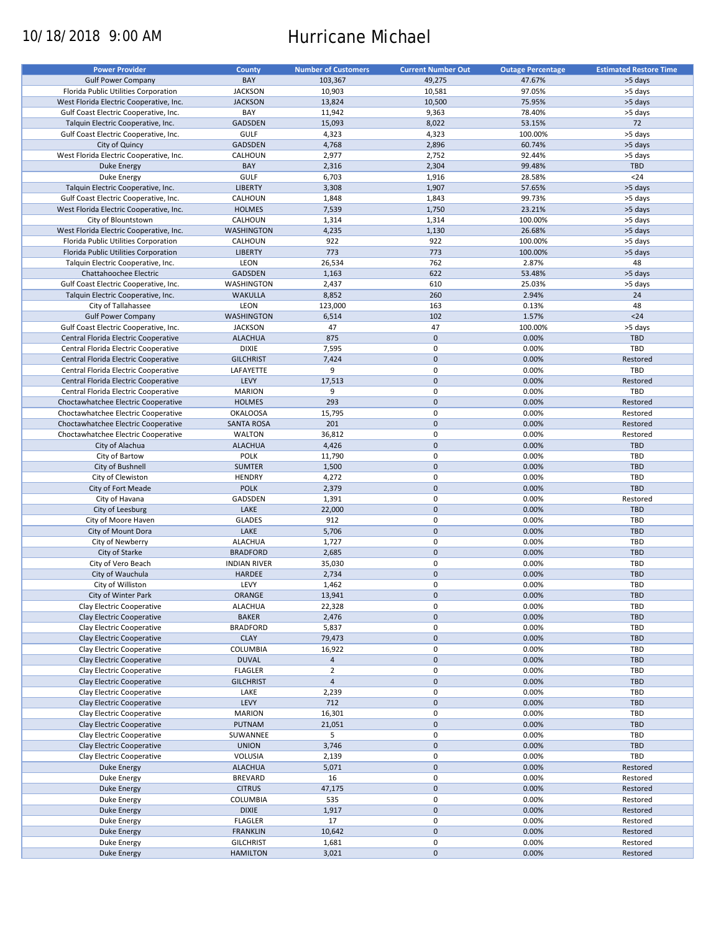# 10/18/2018 9:00 AM Hurricane Michael

| <b>Power Provider</b>                   | <b>County</b>       | <b>Number of Customers</b> | <b>Current Number Out</b> | <b>Outage Percentage</b> | <b>Estimated Restore Time</b> |
|-----------------------------------------|---------------------|----------------------------|---------------------------|--------------------------|-------------------------------|
|                                         |                     |                            |                           |                          |                               |
| <b>Gulf Power Company</b>               | BAY                 | 103,367                    | 49,275                    | 47.67%                   | >5 days                       |
| Florida Public Utilities Corporation    | <b>JACKSON</b>      | 10,903                     | 10,581                    | 97.05%                   | >5 days                       |
| West Florida Electric Cooperative, Inc. | <b>JACKSON</b>      | 13,824                     | 10,500                    | 75.95%                   | >5 days                       |
| Gulf Coast Electric Cooperative, Inc.   | BAY                 | 11,942                     | 9,363                     | 78.40%                   | >5 days                       |
| Talquin Electric Cooperative, Inc.      | <b>GADSDEN</b>      | 15,093                     | 8,022                     | 53.15%                   | 72                            |
| Gulf Coast Electric Cooperative, Inc.   | <b>GULF</b>         | 4,323                      | 4,323                     | 100.00%                  | >5 days                       |
| City of Quincy                          | <b>GADSDEN</b>      | 4,768                      | 2,896                     | 60.74%                   | >5 days                       |
|                                         |                     |                            |                           |                          |                               |
| West Florida Electric Cooperative, Inc. | CALHOUN             | 2,977                      | 2,752                     | 92.44%                   | >5 days                       |
| <b>Duke Energy</b>                      | BAY                 | 2,316                      | 2,304                     | 99.48%                   | <b>TBD</b>                    |
| Duke Energy                             | <b>GULF</b>         | 6,703                      | 1,916                     | 28.58%                   | $24$                          |
| Talquin Electric Cooperative, Inc.      | <b>LIBERTY</b>      | 3,308                      | 1,907                     | 57.65%                   | >5 days                       |
| Gulf Coast Electric Cooperative, Inc.   | CALHOUN             | 1,848                      | 1,843                     | 99.73%                   | >5 days                       |
| West Florida Electric Cooperative, Inc. | <b>HOLMES</b>       | 7,539                      | 1,750                     | 23.21%                   | >5 days                       |
| City of Blountstown                     | CALHOUN             | 1,314                      | 1,314                     | 100.00%                  | >5 days                       |
|                                         | <b>WASHINGTON</b>   |                            |                           |                          |                               |
| West Florida Electric Cooperative, Inc. |                     | 4,235                      | 1,130                     | 26.68%                   | >5 days                       |
| Florida Public Utilities Corporation    | CALHOUN             | 922                        | 922                       | 100.00%                  | >5 days                       |
| Florida Public Utilities Corporation    | <b>LIBERTY</b>      | 773                        | 773                       | 100.00%                  | >5 days                       |
| Talquin Electric Cooperative, Inc.      | LEON                | 26,534                     | 762                       | 2.87%                    | 48                            |
| Chattahoochee Electric                  | <b>GADSDEN</b>      | 1,163                      | 622                       | 53.48%                   | >5 days                       |
| Gulf Coast Electric Cooperative, Inc.   | WASHINGTON          | 2,437                      | 610                       | 25.03%                   | >5 days                       |
| Talquin Electric Cooperative, Inc.      | <b>WAKULLA</b>      | 8,852                      | 260                       | 2.94%                    | 24                            |
|                                         |                     |                            |                           |                          |                               |
| City of Tallahassee                     | LEON                | 123,000                    | 163                       | 0.13%                    | 48                            |
| <b>Gulf Power Company</b>               | <b>WASHINGTON</b>   | 6,514                      | 102                       | 1.57%                    | $24$                          |
| Gulf Coast Electric Cooperative, Inc.   | <b>JACKSON</b>      | 47                         | 47                        | 100.00%                  | >5 days                       |
| Central Florida Electric Cooperative    | <b>ALACHUA</b>      | 875                        | $\mathbf 0$               | 0.00%                    | <b>TBD</b>                    |
| Central Florida Electric Cooperative    | <b>DIXIE</b>        | 7,595                      | 0                         | 0.00%                    | <b>TBD</b>                    |
| Central Florida Electric Cooperative    | <b>GILCHRIST</b>    | 7,424                      | $\mathbf 0$               | 0.00%                    | Restored                      |
| Central Florida Electric Cooperative    | LAFAYETTE           | 9                          | 0                         | 0.00%                    | TBD                           |
|                                         |                     |                            |                           |                          |                               |
| Central Florida Electric Cooperative    | LEVY                | 17,513                     | $\mathbf 0$               | 0.00%                    | Restored                      |
| Central Florida Electric Cooperative    | <b>MARION</b>       | 9                          | $\pmb{0}$                 | 0.00%                    | <b>TBD</b>                    |
| Choctawhatchee Electric Cooperative     | <b>HOLMES</b>       | 293                        | $\mathbf 0$               | 0.00%                    | Restored                      |
| Choctawhatchee Electric Cooperative     | <b>OKALOOSA</b>     | 15,795                     | 0                         | 0.00%                    | Restored                      |
| Choctawhatchee Electric Cooperative     | <b>SANTA ROSA</b>   | 201                        | $\mathbf 0$               | 0.00%                    | Restored                      |
| Choctawhatchee Electric Cooperative     | <b>WALTON</b>       | 36,812                     | 0                         | 0.00%                    | Restored                      |
| City of Alachua                         | <b>ALACHUA</b>      | 4,426                      | $\mathbf 0$               | 0.00%                    | <b>TBD</b>                    |
|                                         |                     |                            | 0                         |                          | <b>TBD</b>                    |
| City of Bartow                          | POLK                | 11,790                     |                           | 0.00%                    |                               |
| City of Bushnell                        | <b>SUMTER</b>       | 1,500                      | $\mathbf 0$               | 0.00%                    | <b>TBD</b>                    |
| City of Clewiston                       | <b>HENDRY</b>       | 4,272                      | $\pmb{0}$                 | 0.00%                    | TBD                           |
| City of Fort Meade                      | <b>POLK</b>         | 2,379                      | $\mathbf 0$               | 0.00%                    | TBD                           |
| City of Havana                          | GADSDEN             | 1,391                      | $\mathbf 0$               | 0.00%                    | Restored                      |
| City of Leesburg                        | LAKE                | 22,000                     | $\mathbf 0$               | 0.00%                    | <b>TBD</b>                    |
| City of Moore Haven                     | <b>GLADES</b>       | 912                        | $\pmb{0}$                 | 0.00%                    | TBD                           |
|                                         | LAKE                | 5,706                      | $\mathbf 0$               | 0.00%                    | <b>TBD</b>                    |
| City of Mount Dora                      |                     |                            |                           |                          |                               |
| City of Newberry                        | <b>ALACHUA</b>      | 1,727                      | $\mathbf 0$               | 0.00%                    | TBD                           |
| City of Starke                          | <b>BRADFORD</b>     | 2,685                      | $\mathbf 0$               | 0.00%                    | <b>TBD</b>                    |
| City of Vero Beach                      | <b>INDIAN RIVER</b> | 35,030                     | 0                         | 0.00%                    | <b>TBD</b>                    |
| City of Wauchula                        | <b>HARDEE</b>       | 2,734                      | $\mathbf 0$               | 0.00%                    | <b>TBD</b>                    |
| City of Williston                       | LEVY                | 1,462                      | $\mathbf 0$               | 0.00%                    | TBD                           |
| City of Winter Park                     | ORANGE              | 13,941                     | $\mathbf 0$               | 0.00%                    | <b>TBD</b>                    |
|                                         |                     |                            |                           |                          |                               |
| Clay Electric Cooperative               | <b>ALACHUA</b>      | 22,328                     | 0                         | 0.00%                    | <b>TBD</b>                    |
| Clay Electric Cooperative               | <b>BAKER</b>        | 2,476                      | $\mathbf 0$               | 0.00%                    | <b>TBD</b>                    |
| Clay Electric Cooperative               | <b>BRADFORD</b>     | 5,837                      | 0                         | 0.00%                    | TBD                           |
| Clay Electric Cooperative               | <b>CLAY</b>         | 79,473                     | $\mathbf 0$               | 0.00%                    | <b>TBD</b>                    |
| Clay Electric Cooperative               | COLUMBIA            | 16,922                     | $\pmb{0}$                 | 0.00%                    | <b>TBD</b>                    |
| Clay Electric Cooperative               | <b>DUVAL</b>        | $\overline{4}$             | $\mathbf 0$               | 0.00%                    | <b>TBD</b>                    |
| Clay Electric Cooperative               | <b>FLAGLER</b>      | $\overline{2}$             | 0                         | 0.00%                    | <b>TBD</b>                    |
| Clay Electric Cooperative               | <b>GILCHRIST</b>    | $\overline{4}$             | $\mathbf 0$               | 0.00%                    | <b>TBD</b>                    |
|                                         |                     |                            |                           |                          |                               |
| Clay Electric Cooperative               | LAKE                | 2,239                      | 0                         | 0.00%                    | <b>TBD</b>                    |
| Clay Electric Cooperative               | LEVY                | 712                        | $\pmb{0}$                 | 0.00%                    | TBD                           |
| Clay Electric Cooperative               | <b>MARION</b>       | 16,301                     | $\pmb{0}$                 | 0.00%                    | <b>TBD</b>                    |
| Clay Electric Cooperative               | <b>PUTNAM</b>       | 21,051                     | $\pmb{0}$                 | 0.00%                    | TBD                           |
| Clay Electric Cooperative               | SUWANNEE            | 5                          | $\pmb{0}$                 | 0.00%                    | TBD                           |
| Clay Electric Cooperative               | <b>UNION</b>        | 3,746                      | $\pmb{0}$                 | 0.00%                    | <b>TBD</b>                    |
|                                         |                     |                            |                           |                          |                               |
| Clay Electric Cooperative               | VOLUSIA             | 2,139                      | 0                         | 0.00%                    | TBD                           |
| <b>Duke Energy</b>                      | <b>ALACHUA</b>      | 5,071                      | $\pmb{0}$                 | 0.00%                    | Restored                      |
| Duke Energy                             | <b>BREVARD</b>      | 16                         | $\pmb{0}$                 | 0.00%                    | Restored                      |
| Duke Energy                             | <b>CITRUS</b>       | 47,175                     | $\pmb{0}$                 | 0.00%                    | Restored                      |
| Duke Energy                             | COLUMBIA            | 535                        | $\pmb{0}$                 | 0.00%                    | Restored                      |
| <b>Duke Energy</b>                      | <b>DIXIE</b>        | 1,917                      | $\mathbf 0$               | 0.00%                    | Restored                      |
| Duke Energy                             | <b>FLAGLER</b>      | 17                         | $\pmb{0}$                 | 0.00%                    | Restored                      |
| <b>Duke Energy</b>                      | <b>FRANKLIN</b>     |                            | $\pmb{0}$                 | 0.00%                    |                               |
|                                         |                     | 10,642                     |                           |                          | Restored                      |
| Duke Energy                             | <b>GILCHRIST</b>    | 1,681                      | 0                         | 0.00%                    | Restored                      |
| <b>Duke Energy</b>                      | <b>HAMILTON</b>     | 3,021                      | $\pmb{0}$                 | 0.00%                    | Restored                      |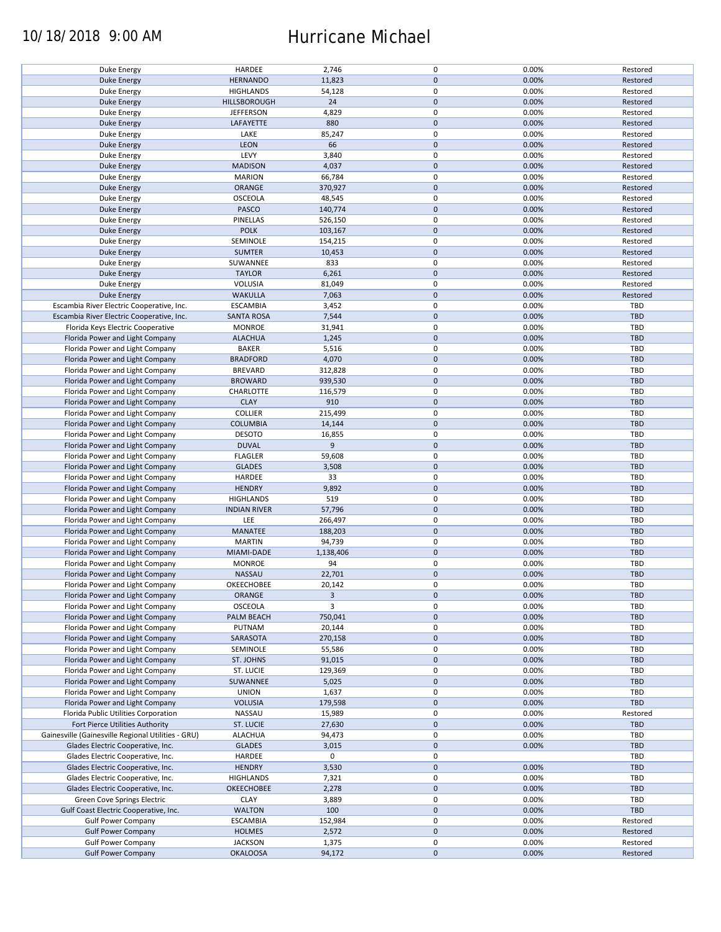### 10/18/2018 9:00 AM Hurricane Michael

| Duke Energy                                        | HARDEE              | 2,746     | 0           | 0.00% | Restored   |
|----------------------------------------------------|---------------------|-----------|-------------|-------|------------|
| <b>Duke Energy</b>                                 | <b>HERNANDO</b>     | 11,823    | $\pmb{0}$   | 0.00% | Restored   |
| Duke Energy                                        | <b>HIGHLANDS</b>    | 54,128    | 0           | 0.00% | Restored   |
|                                                    |                     |           | $\pmb{0}$   |       |            |
| <b>Duke Energy</b>                                 | HILLSBOROUGH        | 24        |             | 0.00% | Restored   |
| Duke Energy                                        | <b>JEFFERSON</b>    | 4,829     | 0           | 0.00% | Restored   |
| Duke Energy                                        | LAFAYETTE           | 880       | $\mathbf 0$ | 0.00% | Restored   |
|                                                    |                     |           |             |       |            |
| Duke Energy                                        | LAKE                | 85,247    | 0           | 0.00% | Restored   |
| Duke Energy                                        | <b>LEON</b>         | 66        | $\pmb{0}$   | 0.00% | Restored   |
| Duke Energy                                        | LEVY                | 3,840     | 0           | 0.00% | Restored   |
|                                                    |                     |           |             |       |            |
| <b>Duke Energy</b>                                 | <b>MADISON</b>      | 4,037     | $\pmb{0}$   | 0.00% | Restored   |
| Duke Energy                                        | <b>MARION</b>       | 66,784    | 0           | 0.00% | Restored   |
| <b>Duke Energy</b>                                 | ORANGE              | 370,927   | $\pmb{0}$   | 0.00% | Restored   |
|                                                    |                     |           |             |       |            |
| Duke Energy                                        | OSCEOLA             | 48,545    | 0           | 0.00% | Restored   |
| Duke Energy                                        | PASCO               | 140,774   | $\mathbf 0$ | 0.00% | Restored   |
|                                                    | PINELLAS            | 526,150   | 0           | 0.00% | Restored   |
| Duke Energy                                        |                     |           |             |       |            |
| <b>Duke Energy</b>                                 | <b>POLK</b>         | 103,167   | $\mathbf 0$ | 0.00% | Restored   |
| Duke Energy                                        | SEMINOLE            | 154,215   | 0           | 0.00% | Restored   |
| <b>Duke Energy</b>                                 | <b>SUMTER</b>       | 10,453    | $\pmb{0}$   | 0.00% | Restored   |
|                                                    |                     |           |             |       |            |
| Duke Energy                                        | SUWANNEE            | 833       | $\pmb{0}$   | 0.00% | Restored   |
| <b>Duke Energy</b>                                 | <b>TAYLOR</b>       | 6,261     | $\pmb{0}$   | 0.00% | Restored   |
|                                                    |                     |           |             |       |            |
| Duke Energy                                        | <b>VOLUSIA</b>      | 81,049    | 0           | 0.00% | Restored   |
| <b>Duke Energy</b>                                 | <b>WAKULLA</b>      | 7,063     | $\pmb{0}$   | 0.00% | Restored   |
| Escambia River Electric Cooperative, Inc.          | <b>ESCAMBIA</b>     | 3,452     | 0           | 0.00% | <b>TBD</b> |
|                                                    |                     |           |             |       |            |
| Escambia River Electric Cooperative, Inc.          | <b>SANTA ROSA</b>   | 7,544     | $\pmb{0}$   | 0.00% | <b>TBD</b> |
| Florida Keys Electric Cooperative                  | <b>MONROE</b>       | 31,941    | $\mathbf 0$ | 0.00% | <b>TBD</b> |
| Florida Power and Light Company                    | <b>ALACHUA</b>      | 1,245     | $\pmb{0}$   | 0.00% | <b>TBD</b> |
|                                                    |                     |           |             |       |            |
| Florida Power and Light Company                    | <b>BAKER</b>        | 5,516     | $\mathbf 0$ | 0.00% | TBD        |
| Florida Power and Light Company                    | <b>BRADFORD</b>     | 4,070     | $\pmb{0}$   | 0.00% | <b>TBD</b> |
|                                                    |                     |           | $\mathbf 0$ |       | <b>TBD</b> |
| Florida Power and Light Company                    | <b>BREVARD</b>      | 312,828   |             | 0.00% |            |
| Florida Power and Light Company                    | <b>BROWARD</b>      | 939,530   | $\pmb{0}$   | 0.00% | <b>TBD</b> |
| Florida Power and Light Company                    | CHARLOTTE           | 116,579   | $\mathbf 0$ | 0.00% | TBD        |
|                                                    |                     |           |             |       |            |
| Florida Power and Light Company                    | <b>CLAY</b>         | 910       | $\pmb{0}$   | 0.00% | <b>TBD</b> |
| Florida Power and Light Company                    | <b>COLLIER</b>      | 215,499   | 0           | 0.00% | TBD        |
| Florida Power and Light Company                    | <b>COLUMBIA</b>     | 14,144    | $\pmb{0}$   | 0.00% | <b>TBD</b> |
|                                                    |                     |           |             |       |            |
| Florida Power and Light Company                    | <b>DESOTO</b>       | 16,855    | $\pmb{0}$   | 0.00% | <b>TBD</b> |
| Florida Power and Light Company                    | <b>DUVAL</b>        | 9         | $\mathbf 0$ | 0.00% | <b>TBD</b> |
|                                                    |                     |           | 0           | 0.00% | TBD        |
| Florida Power and Light Company                    | <b>FLAGLER</b>      | 59,608    |             |       |            |
| Florida Power and Light Company                    | <b>GLADES</b>       | 3,508     | $\mathbf 0$ | 0.00% | <b>TBD</b> |
| Florida Power and Light Company                    | HARDEE              | 33        | 0           | 0.00% | TBD        |
|                                                    |                     |           |             |       |            |
| Florida Power and Light Company                    | <b>HENDRY</b>       | 9,892     | $\pmb{0}$   | 0.00% | <b>TBD</b> |
| Florida Power and Light Company                    | <b>HIGHLANDS</b>    | 519       | 0           | 0.00% | TBD        |
| Florida Power and Light Company                    | <b>INDIAN RIVER</b> | 57,796    | $\pmb{0}$   | 0.00% | <b>TBD</b> |
|                                                    |                     |           |             |       |            |
| Florida Power and Light Company                    | LEE                 | 266,497   | 0           | 0.00% | <b>TBD</b> |
| Florida Power and Light Company                    | MANATEE             | 188,203   | $\mathbf 0$ | 0.00% | <b>TBD</b> |
|                                                    | <b>MARTIN</b>       | 94,739    | 0           | 0.00% | TBD        |
| Florida Power and Light Company                    |                     |           |             |       |            |
| Florida Power and Light Company                    | MIAMI-DADE          | 1,138,406 | $\mathbf 0$ | 0.00% | <b>TBD</b> |
| Florida Power and Light Company                    | <b>MONROE</b>       | 94        | 0           | 0.00% | TBD        |
|                                                    |                     |           |             |       |            |
| Florida Power and Light Company                    | NASSAU              | 22,701    | $\pmb{0}$   | 0.00% | <b>TBD</b> |
| Florida Power and Light Company                    | OKEECHOBEE          | 20,142    | $\mathbf 0$ | 0.00% | TBD        |
| Florida Power and Light Company                    | ORANGE              | 3         | $\pmb{0}$   | 0.00% | <b>TBD</b> |
|                                                    |                     |           |             |       |            |
| Florida Power and Light Company                    | OSCEOLA             | 3         | 0           | 0.00% | TBD        |
| Florida Power and Light Company                    | PALM BEACH          | 750,041   | $\pmb{0}$   | 0.00% | <b>TBD</b> |
| Florida Power and Light Company                    | PUTNAM              | 20,144    | 0           | 0.00% | TBD        |
|                                                    |                     |           |             |       |            |
| Florida Power and Light Company                    | SARASOTA            | 270,158   | $\pmb{0}$   | 0.00% | <b>TBD</b> |
| Florida Power and Light Company                    | SEMINOLE            | 55,586    | 0           | 0.00% | TBD        |
| Florida Power and Light Company                    | ST. JOHNS           | 91,015    | $\pmb{0}$   | 0.00% | <b>TBD</b> |
|                                                    |                     |           |             |       |            |
| Florida Power and Light Company                    | ST. LUCIE           | 129,369   | 0           | 0.00% | TBD        |
| Florida Power and Light Company                    | SUWANNEE            | 5,025     | $\pmb{0}$   | 0.00% | <b>TBD</b> |
|                                                    |                     |           |             |       |            |
| Florida Power and Light Company                    | <b>UNION</b>        | 1,637     | 0           | 0.00% | TBD        |
| Florida Power and Light Company                    | <b>VOLUSIA</b>      | 179,598   | $\mathbf 0$ | 0.00% | <b>TBD</b> |
| Florida Public Utilities Corporation               | NASSAU              | 15,989    | 0           | 0.00% | Restored   |
|                                                    |                     |           |             |       |            |
| Fort Pierce Utilities Authority                    | ST. LUCIE           | 27,630    | 0           | 0.00% | <b>TBD</b> |
| Gainesville (Gainesville Regional Utilities - GRU) | <b>ALACHUA</b>      | 94,473    | 0           | 0.00% | TBD        |
| Glades Electric Cooperative, Inc.                  | <b>GLADES</b>       | 3,015     | $\pmb{0}$   | 0.00% | <b>TBD</b> |
|                                                    |                     |           |             |       |            |
| Glades Electric Cooperative, Inc.                  | HARDEE              | 0         | 0           |       | TBD        |
| Glades Electric Cooperative, Inc.                  | <b>HENDRY</b>       | 3,530     | $\pmb{0}$   | 0.00% | <b>TBD</b> |
|                                                    |                     |           |             |       | TBD        |
| Glades Electric Cooperative, Inc.                  | <b>HIGHLANDS</b>    | 7,321     | 0           | 0.00% |            |
| Glades Electric Cooperative, Inc.                  | OKEECHOBEE          | 2,278     | $\pmb{0}$   | 0.00% | <b>TBD</b> |
| Green Cove Springs Electric                        | <b>CLAY</b>         | 3,889     | $\pmb{0}$   | 0.00% | TBD        |
|                                                    |                     |           |             |       |            |
| Gulf Coast Electric Cooperative, Inc.              | <b>WALTON</b>       | 100       | $\pmb{0}$   | 0.00% | TBD        |
| <b>Gulf Power Company</b>                          | <b>ESCAMBIA</b>     | 152,984   | 0           | 0.00% | Restored   |
| <b>Gulf Power Company</b>                          | <b>HOLMES</b>       | 2,572     | $\pmb{0}$   | 0.00% | Restored   |
|                                                    |                     |           |             |       |            |
| <b>Gulf Power Company</b>                          | <b>JACKSON</b>      | 1,375     | 0           | 0.00% | Restored   |
| <b>Gulf Power Company</b>                          | <b>OKALOOSA</b>     | 94,172    | $\mathbf 0$ | 0.00% | Restored   |
|                                                    |                     |           |             |       |            |